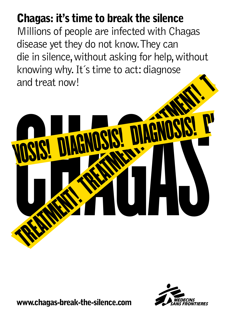## Chagas: it's time to break the silence

Millions of people are infected with Chagas disease yet they do not know. They can die in silence, without asking for help, without knowing why. It´s time to act: diagnose and treat now!





www.chagas-break-the-silence.com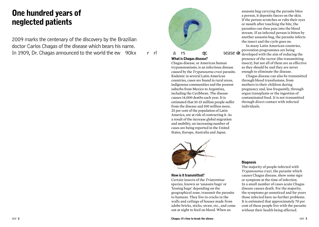## One hundred years of neglected patients

2009 marks the centenary of the discovery by the Brazilian doctor Carlos Chagas of the disease which bears his name. In 1909, Dr. Chagas announced to the world the ew 90kx r rl Cars que sease wh I ke h ek o s his z r What is Chagas disease? harp s presence c

## What is Chagas disease?

Chagas disease, or American human trypanosomiasis, is an infectious disease caused by the *Trypanosoma cruzi* parasite. Endemic in several Latin American countries, cases are found in rural areas, indigenous communities and the poorest suburbs from Mexico to Argentina, including the Caribbean. The disease causes 14,000 deaths each year. It is estimated that 10-15 million people suffer from the disease and 100 million more, 25 per cent of the population of Latin America, are at risk of contracting it. As a result of the increase global migration and mobility, an increasing number of cases are being reported in the United States, Europe, Australia and Japan.



#### How is it transmitted?

Certain insects of the *Triatominae* species, known as 'assassin bugs' or 'kissing bugs' depending on the geographical zone, transmit the parasite to humans. They live in cracks in the walls and ceilings of houses made from adobe bricks, sticks, straw, etc., and come out at night to feed on blood. When an

assassin bug carrying the parasite bites a person, it deposits faeces on the skin. If the person scratches or rubs their eyes or mouth after touching the bite, the parasites can then pass into the blood stream. If an infected person is bitten by another assassin bug, the parasite infects the insect and the cycle goes on.

In many Latin American countries, prevention programmes are being developed with the aim of reducing the presence of the vector (the transmitting insect), but not all of them are as effective as they should be and they are never enough to eliminate the disease.

Chagas disease can also be transmitted through blood transfusions, from mothers to their children during pregnancy and, less frequently, through organ transplants or the ingestion of contaminated food. It is not transmitted through direct contact with infected individuals.

### **Diagnosis**

The majority of people infected with *Trypanosoma cruzi*, the parasite which causes Chagas disease, show some sign or symptom at the time of infection. In a small number of cases acute Chagas disease causes death. For the majority, the symptoms go unnoticed and for years those infected have no further problems. It is estimated that approximately 70 per cent of these people live with the parasite without their health being affected.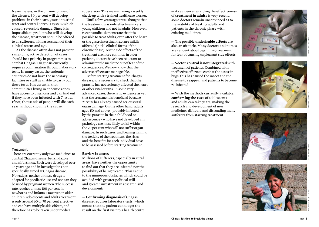Nevertheless, in the chronic phase of the disease, 30 per cent will develop problems in their heart, gastrointestinal tract and central nervous system which cause irreversible damage. Since it is impossible to predict who will develop the disease, treatment should be offered to all sufferers, with assessment of their clinical status and age.

As the disease often does not present symptoms, active detection of cases should be a priority in programmes to combat Chagas. Diagnosis currently requires confirmation through laboratory tests. In many cases, the endemic countries do not have the necessary facilities or staff available to carry out these tests. It is essential that communities living in endemic zones have access to diagnosis and can find out if they have been infected with *T. cruzi*. If not, thousands of people will die each year without knowing the cause.



#### **Treatment**

There are currently only two medicines to combat Chagas disease: benznidazole and nifurtimox. Both were developed over 35 years ago and in investigations not specifically aimed at Chagas disease. Nowadays, neither of these drugs is adapted for paediatric use and nor can they be used by pregnant women. The success rate reaches almost 100 per cent in newborns and infants. However, in older children, adolescents and adults treatment is only around 60 or 70 per cent effective and can have multiple side effects, and therefore has to be taken under medical

supervision. This means having a weekly check-up with a trained healthcare worker.

Until a few years ago it was thought that the treatment was only effective in very young children and not in adults. However, recent studies demonstrate that it is possible to treat adults, even after the heart or the gastrointestinal tract are mildly affected (initial clinical forms of the chronic phase). As the side effects of the treatment are more common in older patients, doctors have been reluctant to administer the medicine out of fear of the consequences. We now know that the adverse effects are manageable.

Before starting treatment for Chagas disease, it is necessary to check that the parasite has not seriously affected the heart or other vital organs. In some very advanced cases, there is no evidence as yet that the treatment is beneficial because *T. cruzi* has already caused serious vital organ damage. On the other hand, adults aged 50 and above - probably infected by the parasite in their childhood or adolescence - who have not developed any pathology are most likely to fall within the 70 per cent who will not suffer organ damage. In such cases, and bearing in mind the toxicity of the treatment, the risks and the benefits for each individual have to be assessed before starting treatment.

#### Barriers to access

Millions of sufferers, especially in rural areas, have neither the opportunity to find out that they are infected nor the possibility of being treated. This is due to the numerous obstacles which could be avoided with greater political will and greater investment in research and development:

— **Confi rming diagnosis** of Chagas disease requires laboratory tests, which means that the patient cannot get the result on the first visit to a health centre. — As evidence regarding the effectiveness of **treatment in adults** is very recent, some doctors remain unconvinced as to the viability of treating adults and patients in the chronic phase with existing medicines.

— The possible **undesirable effects** are also an obstacle. Many doctors and nurses are reticent about beginning treatment for fear of causing unpleasant side effects.

— **Vector control is not integrated** with treatment of patients. Combined with ineffective efforts to combat the assassin bugs, this has caused the insect and the disease to reappear and patients to become re-infected.

— With the methods currently available, **confirming the cure** of adolescents and adults can take years, making the research and development of new medicines difficult, and dissuading many sufferers from starting treatment.







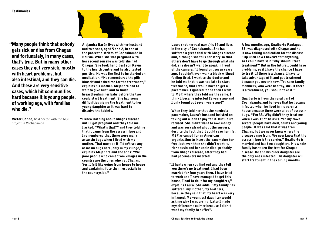#### **Testimonies**



"Many people think that nobody gets sick or dies from Chagas and fortunately, in many cases, that's true. But in many other cases they get very sick, mostly with heart problems, but also intestinal, and they can die. And these are very sensitive cases, which hit communities hard because it is young people, of working age, with families who die."

Víctor Conde, field doctor with the MSF project in Cochabamba

Alejandra Barón lives with her husband and two sons, aged 5 and 2, in one of the poorest districts of Cochabamba in Bolivia. When she was pregnant with her second son she was told she had Chagas. She took her oldest son Kevin to the health centre and he also tested positive. He was the first to be started on medication. "He remembered the pills himself and asked me for the treatment," explains his mother. Alejandra had to wait to give birth and to finish breastfeeding her baby before the two could start treatment. She had some difficulties giving the treatment to her young daughter as it was hard to dissolve the tablets.

"I knew nothing about Chagas disease until I got pregnant and they told me. I asked, "What's that?" and they told me that it came from the assassin bug and I remembered that there were many assassin bugs when I lived with my mother. That must be it, I don't see any assassin bugs here, only in my village," explains Alejandra and she adds: "We poor people who come from villages in the country are the ones who get Chagas. Yes, I felt like going from house to house and explaining it to them, especially in the countryside."



Laura (not her real name) is 39 and lives in the city of Cochabamba. She has suffered a great deal with Chagas disease and, although she tells her story so that others don't have to go through what she did, she doesn't want to speak in front of the camera. "I found out seven years ago. I couldn't even walk a block without feeling tired. I went to the doctor and he told me that it was too late to start treatment, that I would have to get a pacemaker. I ignored it and then I went to MSF, where they told me the same. I think I became infected 19 years ago and I only found out seven years ago!"

When they told her that she needed a pacemaker, Laura's husband insisted on taking out a loan to pay for it. But Laura refused. She didn't want to owe money and was very afraid about the surgery, despite the fact that it could save her life. MSF arranged for an American organization to insert the pacemaker for free, but even then she didn't want it. Her cousin and her uncle died, probably from Chagas disease, after they had had pacemakers inserted.

"It hurts when you find out and they tell you there's no treatment. I had been married for four years then. I have tried to work and I have managed to get this house, I had to do it for my daughters," explains Laura. She adds: "My family has suffered, my mother, my brothers, because they said that my heart was very inflamed. My youngest daughter would ask me why I was crying. Later I made myself become calmer because I didn't want my family to suffer".

A few months ago, Gualberto Paniagua, 33, was diagnosed with Chagas and he is now taking medication for the disease. "Up until now I haven't felt anything, so I could have said 'why should I take treatment?' But in the future I could have problems, so if I have the chance I have to try it. If there is a chance, I have to take advantage of it and get treatment because you never know. I've seen family members, who were healthy, die. If there is a treatment, you should take it."

Gualberto is from the rural part of Cochabamba and believes that he became infected when he lived in his parents' house because there were a lot of assassin bugs. "I'm 33. Why didn't they treat me when I was 15?" he asks. "In my town several people have died, adults and young people. It was said that it was from Chagas, but we never knew where the disease came from. We now know that the assassin bug is the carrier." Gualberto is married and has two daughters. His whole family has taken the test for Chagas disease. He and his older daughter are the only ones infected. His daughter will start treatment in the coming months.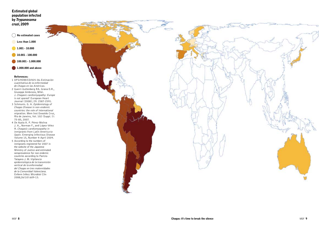#### Estimated global population infected by *Trypanosoma cruzi*, 2009



- Less than 1.000
- 1.001 10.000
- 10.001 100.000
- 100.001 1.000.000
- **1.000.000 and above**

#### References:

- OPS/HDM/CD/425-06 *Estimación cuantitativa de la enfermedad de Chagas en las Américas* .
- Guerri-Guttenberg RA. Grana D.R., Giuseppe Ambrosio, Milei. J. *Chagasic cardiomyopathy: Europe is not spared!* European Heart Journal (2008); 29: 2587-2591.
- 1<br>2<br>3<br>4<br>5 Schmunis. G. A. *Epidemiology of Chagas Disease in non-endemic countries: the role of international migration*. Mem Inst Oswaldo Cruz, Rio de Janeiro, Vol. 102 (Suppl. I): 75-85, 2007.
- De Ayala A. P. Pérez-Molina J. A., Norman F., and López-Vélez R. *Chagasic cardiomyopathy in inmigrants from Latin America to Spain*. Emerging Infectious Disease Volume 15, Number 4-April 2009.
- 5 According to the numbers of inmigrants registered for 2007 in the website of the Japanese Ministry of Justice and estimated seroprevalence for non endemic countries according to Paricio-Talayero J. M. *Vigilancia epidemiológica de la transmisión vertical de la enfermedad del Chagas en tres maternidades de la Comunidad Valenciana*. Enferm Infecc Microbiol Clin 2008;26(10):609-13.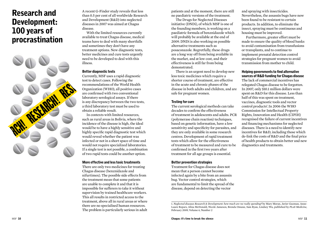## Research and Development: 100 years of procrastination



A recent G-Finder study reveals that less than 0.5 per cent of all worldwide Research and Development (R&D) into neglected diseases in 2007 was aimed at Chagas disease.

With the limited resources currently available to treat Chagas disease, medical teams have to deal with many shortfalls and sometimes they don't have any treatment options. New diagnostic tests, better medicines and cure tests urgently need to be developed to deal with this illness.

#### Better diagnostic tests

Currently, MSF uses a rapid diagnostic test to detect cases. Following the recommendations of the World Health Organization (WHO), all positive cases are confirmed with two conventional laboratory serological assays. If there is any discrepancy between the two tests, a third laboratory test must be used to obtain a reliable result.

In contexts with limited resources, such as rural areas in Bolivia, where the incidence of the disease is high, the ideal would be to have a highly sensitive and highly specific rapid diagnostic test which would reveal whether the patient was infected or not in a short space of time and would not require specialized laboratories. If a single test is not possible, a combination of two rapid tests could be another option.

#### More effective and less toxic treatments

There are only two medicines for treating Chagas disease (benznidazole and nifurtimox). The possible side effects from the treatment mean that some patients are unable to complete it and that it is impossible for sufferers to take it without supervision by trained healthcare workers. This all results in restricted access to the treatment, above all in rural areas or where there are no specialised human resources. The problem is particularly serious in adult patients and at the moment, there are still no paediatric versions of the treatment.

The Drugs for Neglected Diseases initiative (DNDi), of which MSF is one of the founding members, is working on a paediatric formula of benznidazole which will probably be available at the end of 2009. DNDi is also working on possible alternative treatments such as posaconazole. Regretfully, these drugs are a long way off from being available in the market, and at low cost, and their effectiveness is still far from being demonstrated.

There is an urgent need to develop new less toxic medicines which require a shorter course of treatment, are effective in the acute and chronic phases of the disease in both adults and children, and are safe for pregnant women.

#### Testing for cure

The current serological methods can take decades to confirm the effectiveness of treatment in adolescents and adults. PCR (polymerase chain reaction) techniques, based on genetic information, have a low sensitivity and specificity for parasites, and they are only available in some research centres. Development of rapid treatment tests which allow for the effectiveness of treatment to be measured and cure to be confirmed in the first two years after treatment for all age groups is essential.

#### Better prevention strategies

Treatment for Chagas disease does not mean that a person cannot become infected again by a bite from an assassin bug. Vector control strategies, which are fundamental to limit the spread of the disease, depend on detecting the vector

and spraying with insecticides. Nevertheless, the assassin bugs have now been found to be resistant to certain products. In addition, to eliminate the insect, spraying must be continuous and housing must be improved.

Furthermore, greater effort must be made to ensure the quality of blood banks to avoid contamination from transfusions or transplants, and to continue to implement prenatal detection control strategies for pregnant women to avoid transmission from mother to child.

#### Helping governments to find alternative sources of R&D funding for Chagas disease

The lack of commercial incentives has relegated Chagas disease to be forgotten. In 2007, only \$10.1 million dollars were spent on R&D for this disease. Less than half of this was spent on treatment, vaccines, diagnostic tools and vector control products<sup>1</sup>. In 2006 the WHO Commission for Intellectual Property Rights, Innovation and Health (CIPIH) recognised the failure of current incentives and financing mechanisms for neglected diseases. There is a need to identify new incentives for R&D, including those which de-link the costs of R&D and the final price of health products to obtain better and new diagnostics and treatments.

<sup>1.</sup> *Neglected diseases Research & Development: how much are we really spending?* by Mary Moran, Javier Guzman, Anne-Laure Ropars, Alina McDonald, Nicole Jameson, Brenda Omune, Sam Ryan, Lindsey Wu, published by *PLoS Medicine*, February 2009, Volume 6, Number 2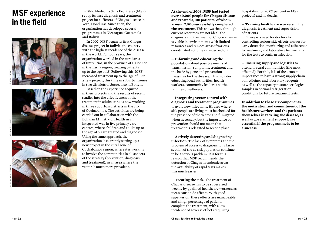## MSF experience in the field







In 1999, Médecins Sans Frontières (MSF) set up its first diagnosis and treatment project for sufferers of Chagas disease in Yoro, Honduras. Since then, the organization has developed several programmes in Nicaragua, Guatemala and Bolivia.

In 2002, MSF began its first Chagas disease project in Bolivia, the country with the highest incidence of the disease in the world. For four years, the organization worked in the rural area of Entre Ríos, in the province of O'Connor, in the Tarija region, treating patients up to the age of 15. Following this, MSF increased treatment up to the age of 18 in a new project, this time in suburban zones in two districts of Sucre, also in Bolivia.

Based on the experience acquired in their projects and the results of recent studies into the effectiveness of the treatment in adults, MSF is now working in three suburban districts in the city of Cochabamba. The activities are being carried out in collaboration with the Bolivian Ministry of Health in an integrated way in five primary care centres, where children and adults up to the age of 50 are treated and diagnosed. Using the same approach, the organization is currently setting up a new project in the rural zone of Cochabamba region, where it is working to involve the communities in all aspects of the strategy (prevention, diagnosis and treatment), in an area where the vector is much more prevalent.

**At the end of 2008, MSF had tested over 60,000 people for Chagas disease and treated 3,100 patients, of whom around 2,800 successfully completed the treatment.** This shows that, although current resources are not ideal, the diagnosis and treatment of Chagas disease is viable in environments with limited resources and remote areas if various coordinated activities are carried out:

— **Informing and educating the population** about possible means of transmission, symptoms, treatment and the basic hygiene and prevention measures for the disease. This includes educating local authorities, health workers, community leaders and the families of sufferers.

— **Integrating vector control with diagnosis and treatment programmes** to avoid new infections. Houses where sick people are living must be checked for the presence of the vector and fumigated when necessary, but the importance of prevention should not mean that treatment is relegated to second place.

— **Actively detecting and diagnosing infection.** The lack of symptoms and the problem of access to diagnosis for a large section of the at-risk population continue to be a serious problem. It is for this reason that MSF recommends the detection of Chagas in endemic areas; the availability of rapid tests makes this much easier.

— **Treating the sick.** The treatment of Chagas disease has to be supervised weekly by qualified healthcare workers, as it can cause side effects. With good supervision, these effects are manageable and a high percentage of patients complete the treatment, with a low incidence of adverse effects requiring

hospitalisation (0.07 per cent in MSF projects) and no deaths.

— **Training healthcare workers** in the diagnosis, treatment and supervision of patients.

There is a need for doctors for controlling serious side effects, nurses for early detection, monitoring and adherence to treatment, and laboratory technicians for the tests to confirm infection.

— **Ensuring supply and logistics** to attend to rural communities (the most affected). For this, it is of the utmost importance to have a strong supply chain of medicines and laboratory reagents, as well as the capacity to store serological samples in optimal refrigeration conditions for future treatment tests.

**In addition to these six components, the motivation and commitment of the healthcare workers and the patients themselves in tackling the disease, as well as government support, are essential if the programme is to be a success.**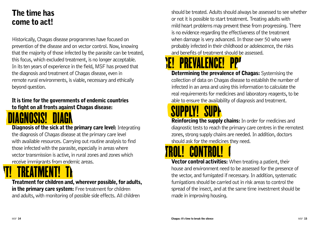## The time has come to act!

Historically, Chagas disease programmes have focused on prevention of the disease and on vector control. Now, knowing that the majority of those infected by the parasite can be treated, this focus, which excluded treatment, is no longer acceptable. In its ten years of experience in the field, MSF has proved that the diagnosis and treatment of Chagas disease, even in remote rural environments, is viable, necessary and ethically beyond question.

### It is time for the governments of endemic countries to fight on all fronts against Chagas disease:



**Diagnosis of the sick at the primary care level:** Integrating the diagnosis of Chagas disease at the primary care level with available resources. Carrying out routine analysis to find those infected with the parasite, especially in areas where vector transmission is active, in rural zones and zones which receive immigrants from endemic areas. parasite, especially in areas where<br>ctive, in rural zones and zones which **CONTROL!** CONTROL!

N<u>t!</u> treatment! Tr

Treatment for children and, wherever possible, for adults, in the primary care system: Free treatment for children and adults, with monitoring of possible side effects. All children

should be treated. Adults should always be assessed to see whether or not it is possible to start treatment. Treating adults with mild heart problems may prevent these from progressing. There is no evidence regarding the effectiveness of the treatment when damage is very advanced. In those over 50 who were probably infected in their childhood or adolescence, the risks and benefits of treatment should be assessed.

## **ch prevalence! Prevalence!**

**Determining the prevalence of Chagas:** Systemising the collection of data on Chagas disease to establish the number of infected in an area and using this information to calculate the real requirements for medicines and laboratory reagents, to be able to ensure the availability of diagnosis and treatment.

# **SUPPLY! SUPP**

**Reinforcing the supply chains:** In order for medicines and diagnostic tests to reach the primary care centres in the remotest zones, strong supply chains are needed. In addition, doctors should ask for the medicines they need.

**Vector control activities:** When treating a patient, their house and environment need to be assessed for the presence of the vector, and fumigated if necessary. In addition, systematic fumigations should be carried out in risk areas to control the spread of the insect, and at the same time investment should be made in improving housing.